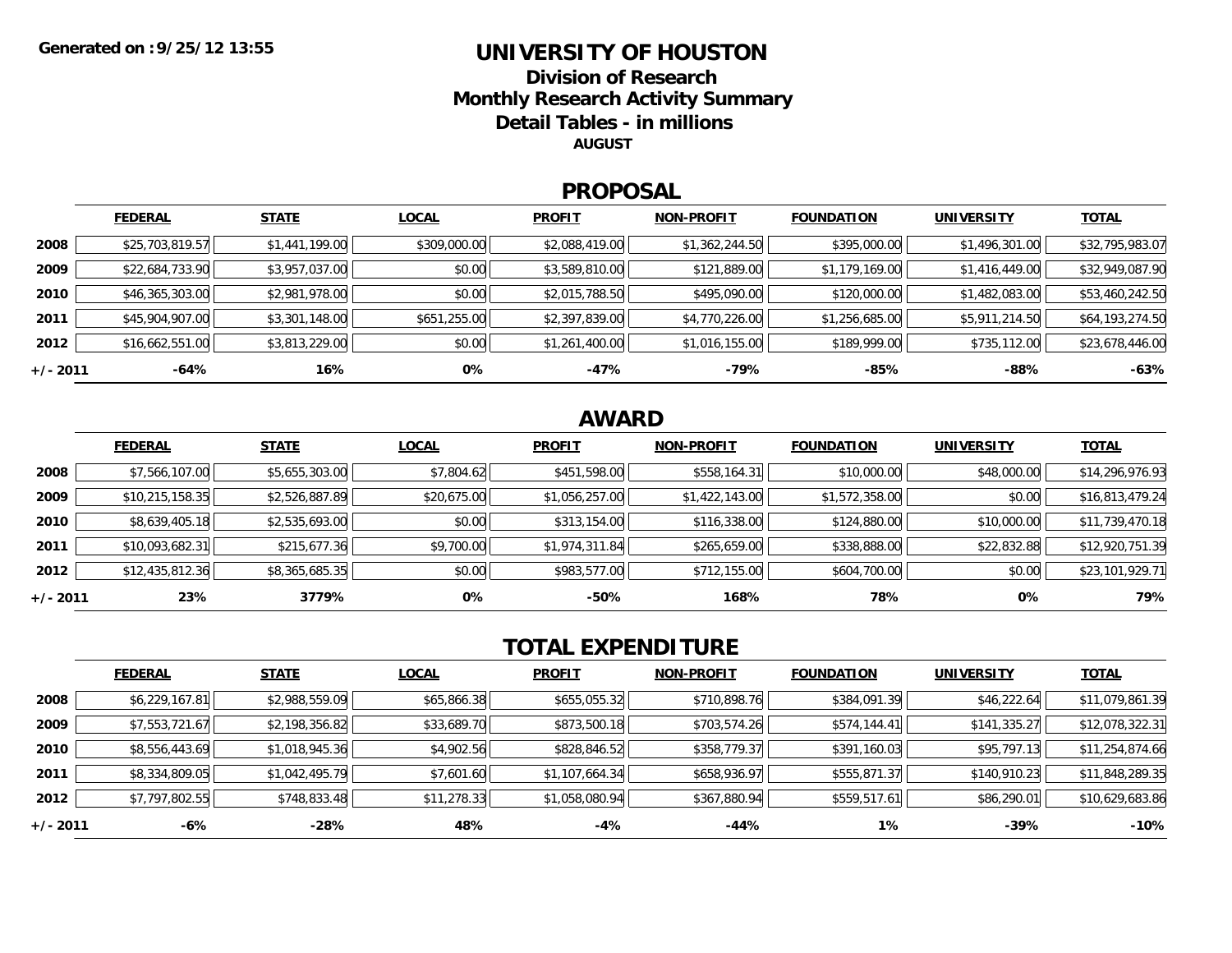### **UNIVERSITY OF HOUSTONDivision of ResearchMonthly Research Activity Summary Detail Tables - in millions**

**AUGUST**

#### **PROPOSAL**

|            | <b>FEDERAL</b>  | <b>STATE</b>   | <b>LOCAL</b> | <b>PROFIT</b>  | <b>NON-PROFIT</b> | <b>FOUNDATION</b> | <b>UNIVERSITY</b> | <u>TOTAL</u>    |
|------------|-----------------|----------------|--------------|----------------|-------------------|-------------------|-------------------|-----------------|
| 2008       | \$25,703,819.57 | \$1,441,199.00 | \$309,000.00 | \$2,088,419.00 | \$1,362,244.50    | \$395,000.00      | \$1,496,301.00    | \$32,795,983.07 |
| 2009       | \$22,684,733.90 | \$3,957,037.00 | \$0.00       | \$3,589,810.00 | \$121,889.00      | \$1,179,169.00    | \$1,416,449.00    | \$32,949,087.90 |
| 2010       | \$46,365,303.00 | \$2,981,978.00 | \$0.00       | \$2,015,788.50 | \$495,090.00      | \$120,000.00      | \$1,482,083.00    | \$53,460,242.50 |
| 2011       | \$45,904,907.00 | \$3,301,148.00 | \$651,255.00 | \$2,397,839.00 | \$4,770,226.00    | \$1,256,685.00    | \$5,911,214.50    | \$64,193,274.50 |
| 2012       | \$16,662,551.00 | \$3,813,229.00 | \$0.00       | \$1,261,400.00 | \$1,016,155.00    | \$189,999.00      | \$735,112.00      | \$23,678,446.00 |
| $+/- 2011$ | -64%            | 16%            | 0%           | $-47%$         | -79%              | -85%              | $-88%$            | $-63%$          |

## **AWARD**

|          | <b>FEDERAL</b>  | <b>STATE</b>   | <b>LOCAL</b> | <b>PROFIT</b>  | <b>NON-PROFIT</b> | <b>FOUNDATION</b> | <b>UNIVERSITY</b> | <b>TOTAL</b>    |
|----------|-----------------|----------------|--------------|----------------|-------------------|-------------------|-------------------|-----------------|
| 2008     | \$7,566,107.00  | \$5,655,303.00 | \$7,804.62   | \$451,598.00   | \$558,164.31      | \$10,000.00       | \$48,000.00       | \$14,296,976.93 |
| 2009     | \$10,215,158.35 | \$2,526,887.89 | \$20,675.00  | \$1,056,257.00 | \$1,422,143.00    | \$1,572,358.00    | \$0.00            | \$16,813,479.24 |
| 2010     | \$8,639,405.18  | \$2,535,693.00 | \$0.00       | \$313,154.00   | \$116,338.00      | \$124,880.00      | \$10,000.00       | \$11,739,470.18 |
| 2011     | \$10,093,682.31 | \$215,677.36   | \$9,700.00   | \$1,974,311.84 | \$265,659.00      | \$338,888.00      | \$22,832.88       | \$12,920,751.39 |
| 2012     | \$12,435,812.36 | \$8,365,685.35 | \$0.00       | \$983,577.00   | \$712,155.00      | \$604,700.00      | \$0.00            | \$23,101,929.71 |
| +/- 2011 | 23%             | 3779%          | 0%           | $-50%$         | 168%              | 78%               | 0%                | 79%             |

# **TOTAL EXPENDITURE**

|          | <b>FEDERAL</b> | <b>STATE</b>   | <b>LOCAL</b> | <b>PROFIT</b>  | <b>NON-PROFIT</b> | <b>FOUNDATION</b> | <b>UNIVERSITY</b> | <b>TOTAL</b>    |
|----------|----------------|----------------|--------------|----------------|-------------------|-------------------|-------------------|-----------------|
| 2008     | \$6,229,167.81 | \$2,988,559.09 | \$65,866.38  | \$655,055.32   | \$710,898.76      | \$384,091.39      | \$46,222.64       | \$11,079,861.39 |
| 2009     | \$7,553,721.67 | \$2,198,356.82 | \$33,689.70  | \$873,500.18   | \$703,574.26      | \$574,144.41      | \$141,335.27      | \$12,078,322.31 |
| 2010     | \$8,556,443.69 | \$1,018,945.36 | \$4,902.56   | \$828,846.52   | \$358,779.37      | \$391,160.03      | \$95,797.13       | \$11,254,874.66 |
| 2011     | \$8,334,809.05 | \$1,042,495.79 | \$7,601.60   | \$1,107,664.34 | \$658,936.97      | \$555,871.37      | \$140,910.23      | \$11,848,289.35 |
| 2012     | \$7,797,802.55 | \$748,833.48   | \$11,278.33  | \$1,058,080.94 | \$367,880.94      | \$559,517.61      | \$86,290.01       | \$10,629,683.86 |
| +/- 2011 | -6%            | -28%           | 48%          | -4%            | -44%              | $1\%$             | -39%              | $-10%$          |